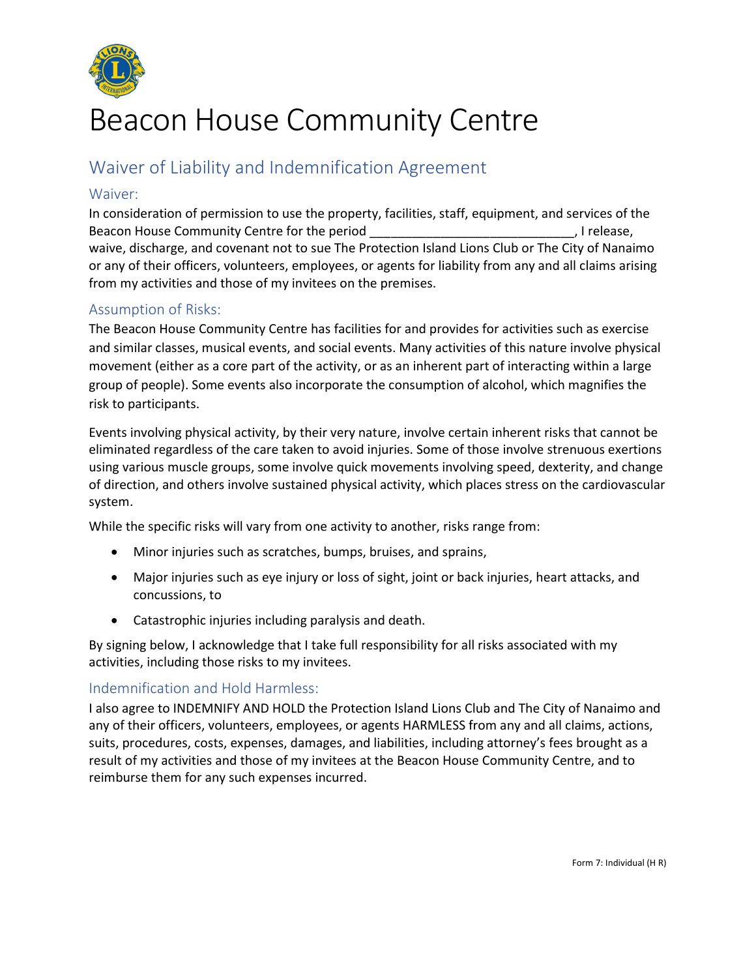

# Beacon House Community Centre

# Waiver of Liability and Indemnification Agreement

#### Waiver:

In consideration of permission to use the property, facilities, staff, equipment, and services of the Beacon House Community Centre for the period \_\_\_\_\_\_\_\_\_\_\_\_\_\_\_\_\_\_\_\_\_\_\_\_\_\_\_\_\_, I release, waive, discharge, and covenant not to sue The Protection Island Lions Club or The City of Nanaimo or any of their officers, volunteers, employees, or agents for liability from any and all claims arising from my activities and those of my invitees on the premises.

## Assumption of Risks:

The Beacon House Community Centre has facilities for and provides for activities such as exercise and similar classes, musical events, and social events. Many activities of this nature involve physical movement (either as a core part of the activity, or as an inherent part of interacting within a large group of people). Some events also incorporate the consumption of alcohol, which magnifies the risk to participants.

Events involving physical activity, by their very nature, involve certain inherent risks that cannot be eliminated regardless of the care taken to avoid injuries. Some of those involve strenuous exertions using various muscle groups, some involve quick movements involving speed, dexterity, and change of direction, and others involve sustained physical activity, which places stress on the cardiovascular system.

While the specific risks will vary from one activity to another, risks range from:

- Minor injuries such as scratches, bumps, bruises, and sprains,
- Major injuries such as eye injury or loss of sight, joint or back injuries, heart attacks, and concussions, to
- Catastrophic injuries including paralysis and death.

By signing below, I acknowledge that I take full responsibility for all risks associated with my activities, including those risks to my invitees.

## Indemnification and Hold Harmless:

I also agree to INDEMNIFY AND HOLD the Protection Island Lions Club and The City of Nanaimo and any of their officers, volunteers, employees, or agents HARMLESS from any and all claims, actions, suits, procedures, costs, expenses, damages, and liabilities, including attorney's fees brought as a result of my activities and those of my invitees at the Beacon House Community Centre, and to reimburse them for any such expenses incurred.